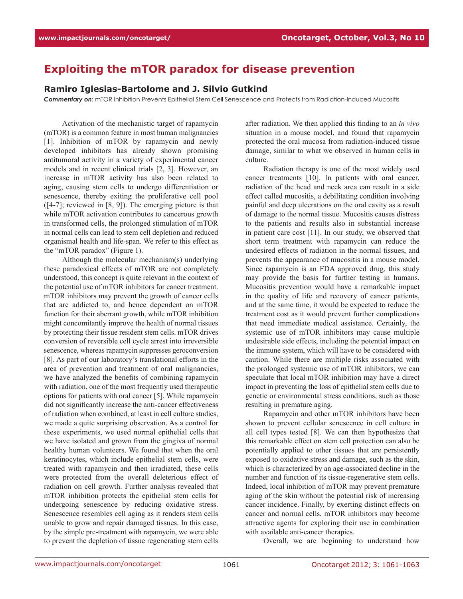## **Exploiting the mTOR paradox for disease prevention**

## **Ramiro Iglesias-Bartolome and J. Silvio Gutkind**

*Commentary on*: mTOR Inhibition Prevents Epithelial Stem Cell Senescence and Protects from Radiation-Induced Mucositis

Activation of the mechanistic target of rapamycin (mTOR) is a common feature in most human malignancies [1]. Inhibition of mTOR by rapamycin and newly developed inhibitors has already shown promising antitumoral activity in a variety of experimental cancer models and in recent clinical trials [2, 3]. However, an increase in mTOR activity has also been related to aging, causing stem cells to undergo differentiation or senescence, thereby exiting the proliferative cell pool  $([4-7]$ ; reviewed in  $[8, 9]$ ). The emerging picture is that while mTOR activation contributes to cancerous growth in transformed cells, the prolonged stimulation of mTOR in normal cells can lead to stem cell depletion and reduced organismal health and life-span. We refer to this effect as the "mTOR paradox" (Figure 1).

Although the molecular mechanism(s) underlying these paradoxical effects of mTOR are not completely understood, this concept is quite relevant in the context of the potential use of mTOR inhibitors for cancer treatment. mTOR inhibitors may prevent the growth of cancer cells that are addicted to, and hence dependent on mTOR function for their aberrant growth, while mTOR inhibition might concomitantly improve the health of normal tissues by protecting their tissue resident stem cells. mTOR drives conversion of reversible cell cycle arrest into irreversible senescence, whereas rapamycin suppresses geroconversion [8]. As part of our laboratory's translational efforts in the area of prevention and treatment of oral malignancies, we have analyzed the benefits of combining rapamycin with radiation, one of the most frequently used therapeutic options for patients with oral cancer [5]. While rapamycin did not significantly increase the anti-cancer effectiveness of radiation when combined, at least in cell culture studies, we made a quite surprising observation. As a control for these experiments, we used normal epithelial cells that we have isolated and grown from the gingiva of normal healthy human volunteers. We found that when the oral keratinocytes, which include epithelial stem cells, were treated with rapamycin and then irradiated, these cells were protected from the overall deleterious effect of radiation on cell growth. Further analysis revealed that mTOR inhibition protects the epithelial stem cells for undergoing senescence by reducing oxidative stress. Senescence resembles cell aging as it renders stem cells unable to grow and repair damaged tissues. In this case, by the simple pre-treatment with rapamycin, we were able to prevent the depletion of tissue regenerating stem cells

after radiation. We then applied this finding to an *in vivo* situation in a mouse model, and found that rapamycin protected the oral mucosa from radiation-induced tissue damage, similar to what we observed in human cells in culture.

Radiation therapy is one of the most widely used cancer treatments [10]. In patients with oral cancer, radiation of the head and neck area can result in a side effect called mucositis, a debilitating condition involving painful and deep ulcerations on the oral cavity as a result of damage to the normal tissue. Mucositis causes distress to the patients and results also in substantial increase in patient care cost [11]. In our study, we observed that short term treatment with rapamycin can reduce the undesired effects of radiation in the normal tissues, and prevents the appearance of mucositis in a mouse model. Since rapamycin is an FDA approved drug, this study may provide the basis for further testing in humans. Mucositis prevention would have a remarkable impact in the quality of life and recovery of cancer patients, and at the same time, it would be expected to reduce the treatment cost as it would prevent further complications that need immediate medical assistance. Certainly, the systemic use of mTOR inhibitors may cause multiple undesirable side effects, including the potential impact on the immune system, which will have to be considered with caution. While there are multiple risks associated with the prolonged systemic use of mTOR inhibitors, we can speculate that local mTOR inhibition may have a direct impact in preventing the loss of epithelial stem cells due to genetic or environmental stress conditions, such as those resulting in premature aging.

Rapamycin and other mTOR inhibitors have been shown to prevent cellular senescence in cell culture in all cell types tested [8]. We can then hypothesize that this remarkable effect on stem cell protection can also be potentially applied to other tissues that are persistently exposed to oxidative stress and damage, such as the skin, which is characterized by an age-associated decline in the number and function of its tissue-regenerative stem cells. Indeed, local inhibition of mTOR may prevent premature aging of the skin without the potential risk of increasing cancer incidence. Finally, by exerting distinct effects on cancer and normal cells, mTOR inhibitors may become attractive agents for exploring their use in combination with available anti-cancer therapies.

Overall, we are beginning to understand how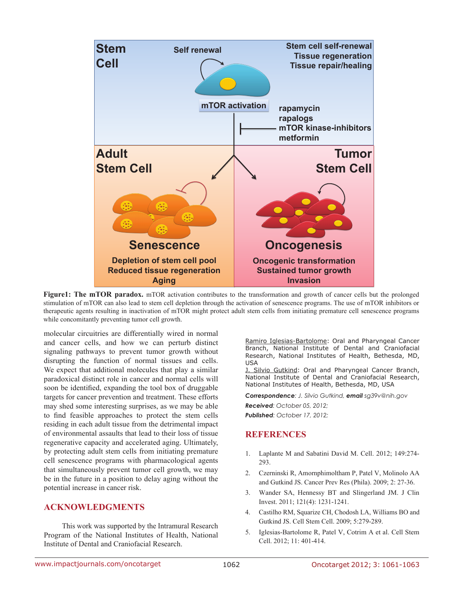

Figure1: The mTOR paradox. mTOR activation contributes to the transformation and growth of cancer cells but the prolonged stimulation of mTOR can also lead to stem cell depletion through the activation of senescence programs. The use of mTOR inhibitors or therapeutic agents resulting in inactivation of mTOR might protect adult stem cells from initiating premature cell senescence programs while concomitantly preventing tumor cell growth.

molecular circuitries are differentially wired in normal and cancer cells, and how we can perturb distinct signaling pathways to prevent tumor growth without disrupting the function of normal tissues and cells. We expect that additional molecules that play a similar paradoxical distinct role in cancer and normal cells will soon be identified, expanding the tool box of druggable targets for cancer prevention and treatment. These efforts may shed some interesting surprises, as we may be able to find feasible approaches to protect the stem cells residing in each adult tissue from the detrimental impact of environmental assaults that lead to their loss of tissue regenerative capacity and accelerated aging. Ultimately, by protecting adult stem cells from initiating premature cell senescence programs with pharmacological agents that simultaneously prevent tumor cell growth, we may be in the future in a position to delay aging without the potential increase in cancer risk.

## **ACKNOWLEDGMENTS**

This work was supported by the Intramural Research Program of the National Institutes of Health, National Institute of Dental and Craniofacial Research.

Ramiro Iglesias-Bartolome: Oral and Pharyngeal Cancer Branch, National Institute of Dental and Craniofacial Research, National Institutes of Health, Bethesda, MD, USA

J. Silvio Gutkind: Oral and Pharyngeal Cancer Branch, National Institute of Dental and Craniofacial Research, National Institutes of Health, Bethesda, MD, USA

*Correspondence: J. Silvio Gutkind, email sg39v@nih.gov Received: October 05, 2012; Published: October 17, 2012;*

## **References**

- 1. Laplante M and Sabatini David M. Cell. 2012; 149:274- 293.
- 2. Czerninski R, Amornphimoltham P, Patel V, Molinolo AA and Gutkind JS. Cancer Prev Res (Phila). 2009; 2: 27-36.
- 3. Wander SA, Hennessy BT and Slingerland JM. J Clin Invest. 2011; 121(4): 1231-1241.
- 4. Castilho RM, Squarize CH, Chodosh LA, Williams BO and Gutkind JS. Cell Stem Cell. 2009; 5:279-289.
- 5. Iglesias-Bartolome R, Patel V, Cotrim A et al. Cell Stem Cell. 2012; 11: 401-414.